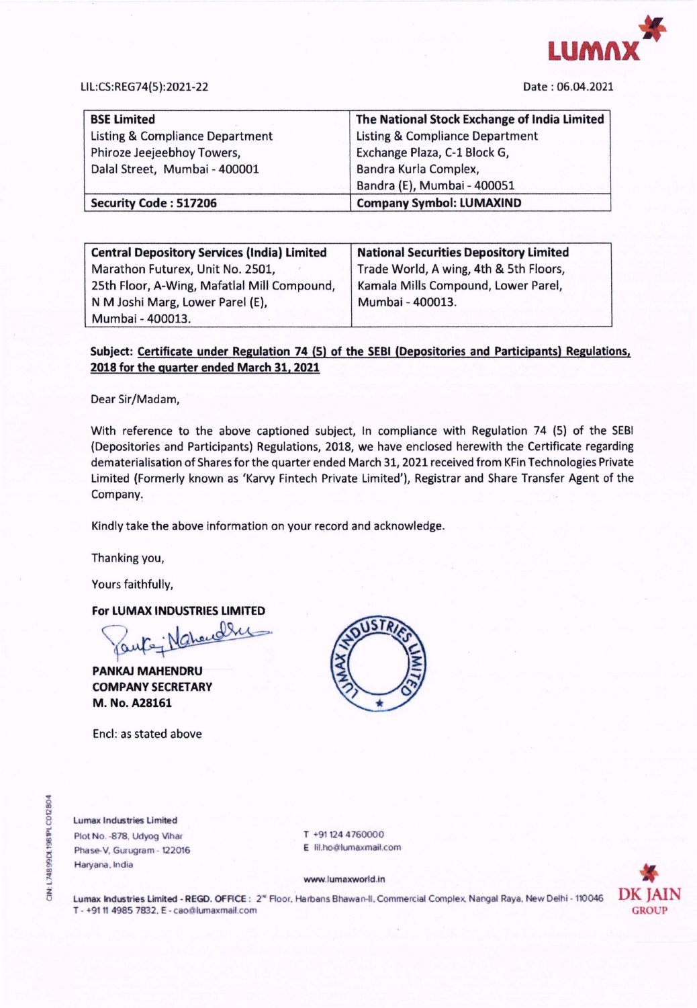

## LIL:CS:REG74(5):2021-22

Date : 06.04.2021

| <b>BSE Limited</b>              | The National Stock Exchange of India Limited |
|---------------------------------|----------------------------------------------|
| Listing & Compliance Department | <b>Listing &amp; Compliance Department</b>   |
| Phiroze Jeejeebhoy Towers,      | Exchange Plaza, C-1 Block G,                 |
| Dalal Street, Mumbai - 400001   | Bandra Kurla Complex,                        |
|                                 | Bandra (E), Mumbai - 400051                  |
| <b>Security Code: 517206</b>    | <b>Company Symbol: LUMAXIND</b>              |

| <b>Central Depository Services (India) Limited</b> | <b>National Securities Depository Limited</b> |
|----------------------------------------------------|-----------------------------------------------|
| Marathon Futurex, Unit No. 2501,                   | Trade World, A wing, 4th & 5th Floors,        |
| 25th Floor, A-Wing, Mafatlal Mill Compound,        | Kamala Mills Compound, Lower Parel,           |
| N M Joshi Marg, Lower Parel (E),                   | Mumbai - 400013.                              |
| Mumbai - 400013.                                   |                                               |

## **Subject: Certificate under Regulation 74 (5) of the SEBI (Depositories and Participants) Regulations, 2018 for the quarter ended March 31, 2021**

Dear Sir/Madam,

With reference to the above captioned subject, In compliance with Regulation 74 (5) of the SEBI (Depositories and Participants) Regulations, 2018, we have enclosed herewith the Certificate regarding dematerialisation of Shares for the quarter ended March 31, 2021 received from KFin Technologies Private Limited (Formerly known as 'Karvy Fintech Private Limited'), Registrar and Share Transfer Agent of the Company.

Kindly take the above information on your record and acknowledge.

Thanking you,

Yours faithfully,

**For LUMAX INDUSTRIES LIMITED** 

**PANKAJ MAHENDRU COMPANY SECRETARY M. No. A28161** 

Encl: as stated above



Lumax Industries Limited Plot No. - 878, Udyog Vihar Phase-V. Gurugram - 122016 Haryana, India

**Z** 

T +91124 4760000 E Ill.ho@lumaxmail.com

www.lumaxworld.ln



Lumax Industries Limited - REGD. OFFICE : 2<sup>«</sup> Floor. Harbans Bhawan-II. Commercial Complex, Nangal Raya, New Delhi - 110046 T - +91 11 4985 7832, E - cao@lumaxmail.com